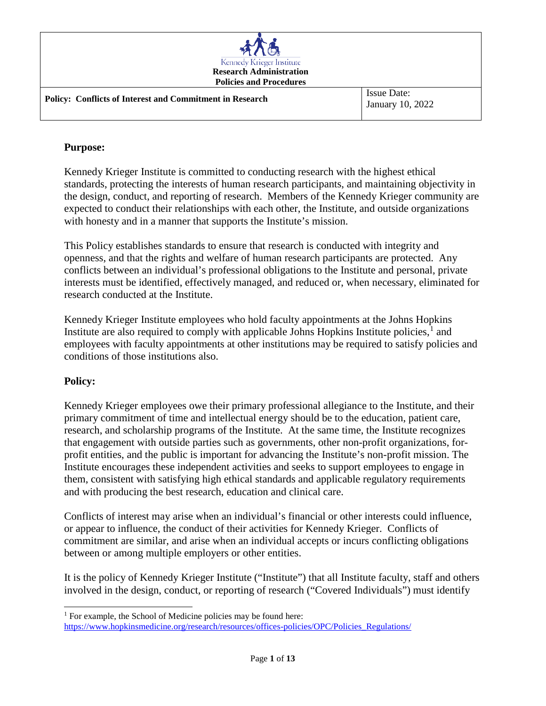| Kennedy Krieger Institute<br><b>Research Administration</b><br><b>Policies and Procedures</b> |                                        |
|-----------------------------------------------------------------------------------------------|----------------------------------------|
| <b>Policy: Conflicts of Interest and Commitment in Research</b>                               | <b>Issue Date:</b><br>January 10, 2022 |

## **Purpose:**

Kennedy Krieger Institute is committed to conducting research with the highest ethical standards, protecting the interests of human research participants, and maintaining objectivity in the design, conduct, and reporting of research. Members of the Kennedy Krieger community are expected to conduct their relationships with each other, the Institute, and outside organizations with honesty and in a manner that supports the Institute's mission.

This Policy establishes standards to ensure that research is conducted with integrity and openness, and that the rights and welfare of human research participants are protected. Any conflicts between an individual's professional obligations to the Institute and personal, private interests must be identified, effectively managed, and reduced or, when necessary, eliminated for research conducted at the Institute.

Kennedy Krieger Institute employees who hold faculty appointments at the Johns Hopkins Institute are also required to comply with applicable Johns Hopkins Institute policies, $<sup>1</sup>$  $<sup>1</sup>$  $<sup>1</sup>$  and</sup> employees with faculty appointments at other institutions may be required to satisfy policies and conditions of those institutions also.

## **Policy:**

Kennedy Krieger employees owe their primary professional allegiance to the Institute, and their primary commitment of time and intellectual energy should be to the education, patient care, research, and scholarship programs of the Institute. At the same time, the Institute recognizes that engagement with outside parties such as governments, other non-profit organizations, forprofit entities, and the public is important for advancing the Institute's non-profit mission. The Institute encourages these independent activities and seeks to support employees to engage in them, consistent with satisfying high ethical standards and applicable regulatory requirements and with producing the best research, education and clinical care.

Conflicts of interest may arise when an individual's financial or other interests could influence, or appear to influence, the conduct of their activities for Kennedy Krieger. Conflicts of commitment are similar, and arise when an individual accepts or incurs conflicting obligations between or among multiple employers or other entities.

It is the policy of Kennedy Krieger Institute ("Institute") that all Institute faculty, staff and others involved in the design, conduct, or reporting of research ("Covered Individuals") must identify

<span id="page-0-0"></span><sup>&</sup>lt;sup>1</sup> For example, the School of Medicine policies may be found here: [https://www.hopkinsmedicine.org/research/resources/offices-policies/OPC/Policies\\_Regulations/](https://www.hopkinsmedicine.org/research/resources/offices-policies/OPC/Policies_Regulations/)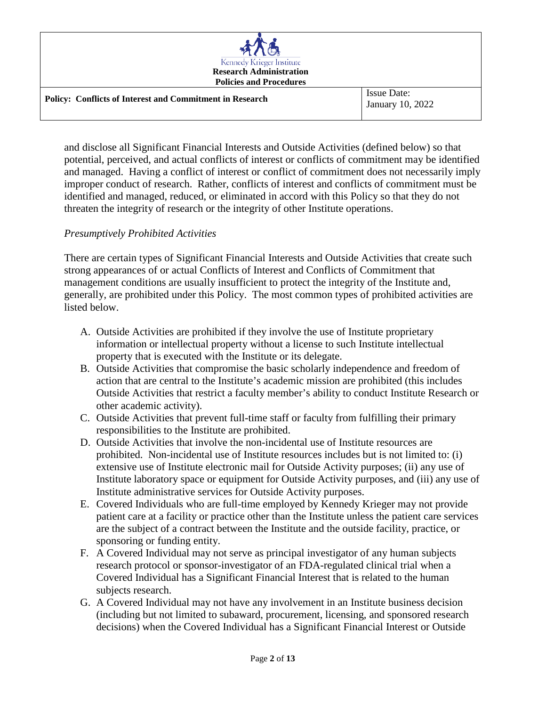| Kennedy Krieger Institute<br><b>Research Administration</b><br><b>Policies and Procedures</b> |                                        |
|-----------------------------------------------------------------------------------------------|----------------------------------------|
| <b>Policy: Conflicts of Interest and Commitment in Research</b>                               | <b>Issue Date:</b><br>January 10, 2022 |

and disclose all Significant Financial Interests and Outside Activities (defined below) so that potential, perceived, and actual conflicts of interest or conflicts of commitment may be identified and managed. Having a conflict of interest or conflict of commitment does not necessarily imply improper conduct of research. Rather, conflicts of interest and conflicts of commitment must be identified and managed, reduced, or eliminated in accord with this Policy so that they do not threaten the integrity of research or the integrity of other Institute operations.

## *Presumptively Prohibited Activities*

There are certain types of Significant Financial Interests and Outside Activities that create such strong appearances of or actual Conflicts of Interest and Conflicts of Commitment that management conditions are usually insufficient to protect the integrity of the Institute and, generally, are prohibited under this Policy. The most common types of prohibited activities are listed below.

- A. Outside Activities are prohibited if they involve the use of Institute proprietary information or intellectual property without a license to such Institute intellectual property that is executed with the Institute or its delegate.
- B. Outside Activities that compromise the basic scholarly independence and freedom of action that are central to the Institute's academic mission are prohibited (this includes Outside Activities that restrict a faculty member's ability to conduct Institute Research or other academic activity).
- C. Outside Activities that prevent full-time staff or faculty from fulfilling their primary responsibilities to the Institute are prohibited.
- D. Outside Activities that involve the non-incidental use of Institute resources are prohibited. Non-incidental use of Institute resources includes but is not limited to: (i) extensive use of Institute electronic mail for Outside Activity purposes; (ii) any use of Institute laboratory space or equipment for Outside Activity purposes, and (iii) any use of Institute administrative services for Outside Activity purposes.
- E. Covered Individuals who are full-time employed by Kennedy Krieger may not provide patient care at a facility or practice other than the Institute unless the patient care services are the subject of a contract between the Institute and the outside facility, practice, or sponsoring or funding entity.
- F. A Covered Individual may not serve as principal investigator of any human subjects research protocol or sponsor-investigator of an FDA-regulated clinical trial when a Covered Individual has a Significant Financial Interest that is related to the human subjects research.
- G. A Covered Individual may not have any involvement in an Institute business decision (including but not limited to subaward, procurement, licensing, and sponsored research decisions) when the Covered Individual has a Significant Financial Interest or Outside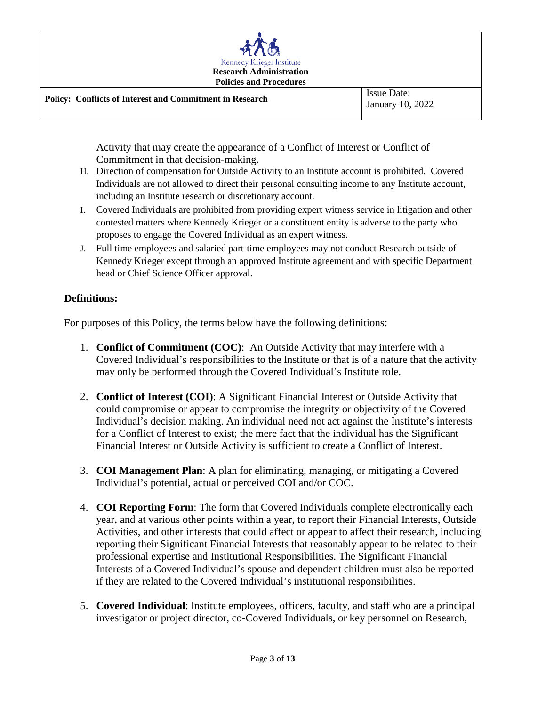

Activity that may create the appearance of a Conflict of Interest or Conflict of Commitment in that decision-making.

- H. Direction of compensation for Outside Activity to an Institute account is prohibited. Covered Individuals are not allowed to direct their personal consulting income to any Institute account, including an Institute research or discretionary account.
- I. Covered Individuals are prohibited from providing expert witness service in litigation and other contested matters where Kennedy Krieger or a constituent entity is adverse to the party who proposes to engage the Covered Individual as an expert witness.
- J. Full time employees and salaried part-time employees may not conduct Research outside of Kennedy Krieger except through an approved Institute agreement and with specific Department head or Chief Science Officer approval.

# **Definitions:**

For purposes of this Policy, the terms below have the following definitions:

- 1. **Conflict of Commitment (COC)**: An Outside Activity that may interfere with a Covered Individual's responsibilities to the Institute or that is of a nature that the activity may only be performed through the Covered Individual's Institute role.
- 2. **Conflict of Interest (COI)**: A Significant Financial Interest or Outside Activity that could compromise or appear to compromise the integrity or objectivity of the Covered Individual's decision making. An individual need not act against the Institute's interests for a Conflict of Interest to exist; the mere fact that the individual has the Significant Financial Interest or Outside Activity is sufficient to create a Conflict of Interest.
- 3. **COI Management Plan**: A plan for eliminating, managing, or mitigating a Covered Individual's potential, actual or perceived COI and/or COC.
- 4. **COI Reporting Form**: The form that Covered Individuals complete electronically each year, and at various other points within a year, to report their Financial Interests, Outside Activities, and other interests that could affect or appear to affect their research, including reporting their Significant Financial Interests that reasonably appear to be related to their professional expertise and Institutional Responsibilities. The Significant Financial Interests of a Covered Individual's spouse and dependent children must also be reported if they are related to the Covered Individual's institutional responsibilities.
- 5. **Covered Individual**: Institute employees, officers, faculty, and staff who are a principal investigator or project director, co-Covered Individuals, or key personnel on Research,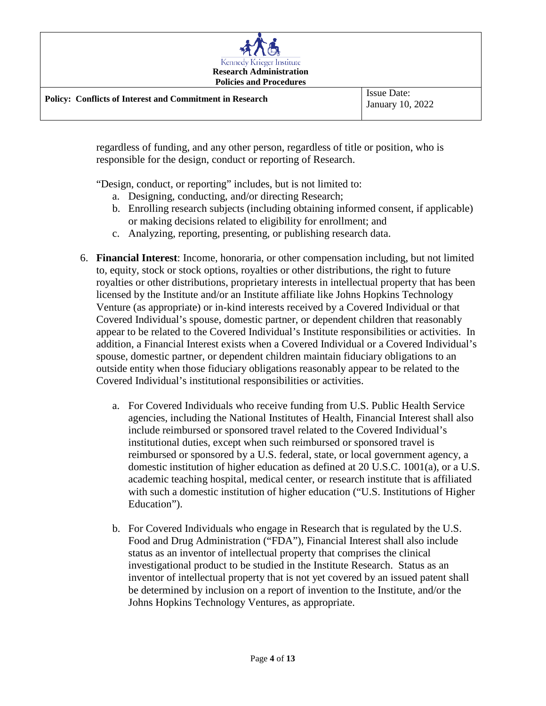

regardless of funding, and any other person, regardless of title or position, who is responsible for the design, conduct or reporting of Research.

"Design, conduct, or reporting" includes, but is not limited to:

- a. Designing, conducting, and/or directing Research;
- b. Enrolling research subjects (including obtaining informed consent, if applicable) or making decisions related to eligibility for enrollment; and
- c. Analyzing, reporting, presenting, or publishing research data.
- 6. **Financial Interest**: Income, honoraria, or other compensation including, but not limited to, equity, stock or stock options, royalties or other distributions, the right to future royalties or other distributions, proprietary interests in intellectual property that has been licensed by the Institute and/or an Institute affiliate like Johns Hopkins Technology Venture (as appropriate) or in-kind interests received by a Covered Individual or that Covered Individual's spouse, domestic partner, or dependent children that reasonably appear to be related to the Covered Individual's Institute responsibilities or activities. In addition, a Financial Interest exists when a Covered Individual or a Covered Individual's spouse, domestic partner, or dependent children maintain fiduciary obligations to an outside entity when those fiduciary obligations reasonably appear to be related to the Covered Individual's institutional responsibilities or activities.
	- a. For Covered Individuals who receive funding from U.S. Public Health Service agencies, including the National Institutes of Health, Financial Interest shall also include reimbursed or sponsored travel related to the Covered Individual's institutional duties, except when such reimbursed or sponsored travel is reimbursed or sponsored by a U.S. federal, state, or local government agency, a domestic institution of higher education as defined at 20 U.S.C. 1001(a), or a U.S. academic teaching hospital, medical center, or research institute that is affiliated with such a domestic institution of higher education ("U.S. Institutions of Higher Education").
	- b. For Covered Individuals who engage in Research that is regulated by the U.S. Food and Drug Administration ("FDA"), Financial Interest shall also include status as an inventor of intellectual property that comprises the clinical investigational product to be studied in the Institute Research. Status as an inventor of intellectual property that is not yet covered by an issued patent shall be determined by inclusion on a report of invention to the Institute, and/or the Johns Hopkins Technology Ventures, as appropriate.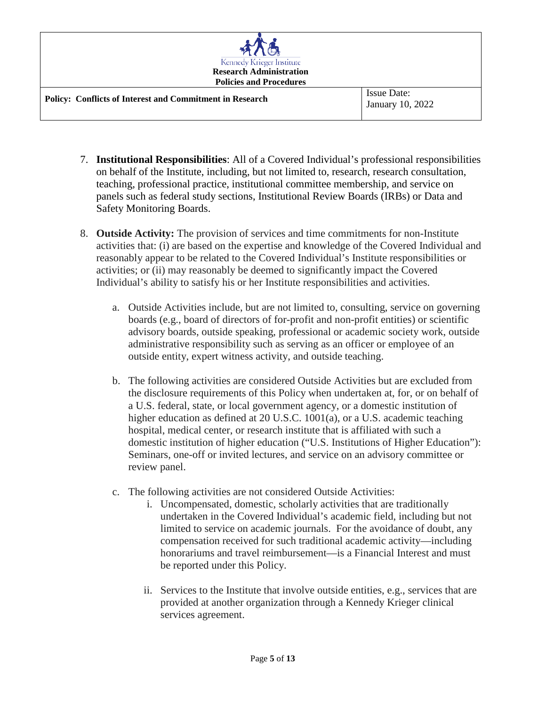| Kennedy Krieger Institute<br><b>Research Administration</b><br><b>Policies and Procedures</b> |                                        |
|-----------------------------------------------------------------------------------------------|----------------------------------------|
| <b>Policy: Conflicts of Interest and Commitment in Research</b>                               | <b>Issue Date:</b><br>January 10, 2022 |

- 7. **Institutional Responsibilities**: All of a Covered Individual's professional responsibilities on behalf of the Institute, including, but not limited to, research, research consultation, teaching, professional practice, institutional committee membership, and service on panels such as federal study sections, Institutional Review Boards (IRBs) or Data and Safety Monitoring Boards.
- 8. **Outside Activity:** The provision of services and time commitments for non-Institute activities that: (i) are based on the expertise and knowledge of the Covered Individual and reasonably appear to be related to the Covered Individual's Institute responsibilities or activities; or (ii) may reasonably be deemed to significantly impact the Covered Individual's ability to satisfy his or her Institute responsibilities and activities.
	- a. Outside Activities include, but are not limited to, consulting, service on governing boards (e.g., board of directors of for-profit and non-profit entities) or scientific advisory boards, outside speaking, professional or academic society work, outside administrative responsibility such as serving as an officer or employee of an outside entity, expert witness activity, and outside teaching.
	- b. The following activities are considered Outside Activities but are excluded from the disclosure requirements of this Policy when undertaken at, for, or on behalf of a U.S. federal, state, or local government agency, or a domestic institution of higher education as defined at 20 U.S.C. 1001(a), or a U.S. academic teaching hospital, medical center, or research institute that is affiliated with such a domestic institution of higher education ("U.S. Institutions of Higher Education"): Seminars, one-off or invited lectures, and service on an advisory committee or review panel.
	- c. The following activities are not considered Outside Activities:
		- i. Uncompensated, domestic, scholarly activities that are traditionally undertaken in the Covered Individual's academic field, including but not limited to service on academic journals. For the avoidance of doubt, any compensation received for such traditional academic activity—including honorariums and travel reimbursement—is a Financial Interest and must be reported under this Policy.
		- ii. Services to the Institute that involve outside entities, e.g., services that are provided at another organization through a Kennedy Krieger clinical services agreement.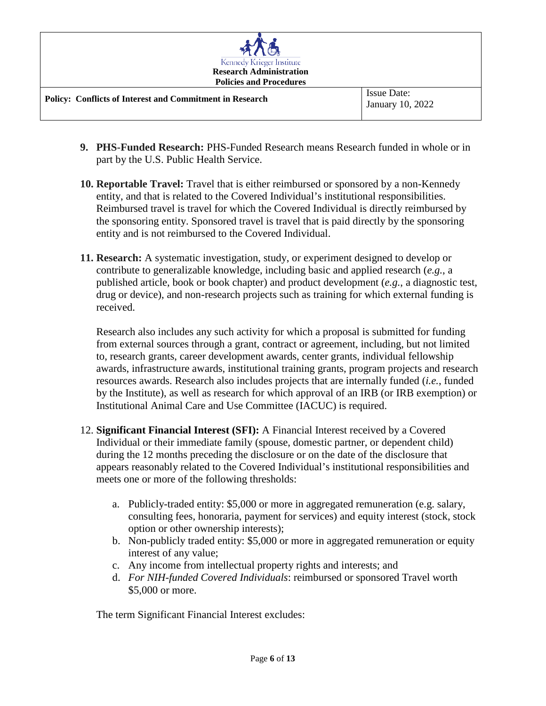| Kennedy Krieger Institute<br><b>Research Administration</b><br><b>Policies and Procedures</b> |                                        |
|-----------------------------------------------------------------------------------------------|----------------------------------------|
| <b>Policy: Conflicts of Interest and Commitment in Research</b>                               | <b>Issue Date:</b><br>January 10, 2022 |

- **9. PHS-Funded Research:** PHS-Funded Research means Research funded in whole or in part by the U.S. Public Health Service.
- **10. Reportable Travel:** Travel that is either reimbursed or sponsored by a non-Kennedy entity, and that is related to the Covered Individual's institutional responsibilities. Reimbursed travel is travel for which the Covered Individual is directly reimbursed by the sponsoring entity. Sponsored travel is travel that is paid directly by the sponsoring entity and is not reimbursed to the Covered Individual.
- **11. Research:** A systematic investigation, study, or experiment designed to develop or contribute to generalizable knowledge, including basic and applied research (*e.g.*, a published article, book or book chapter) and product development (*e.g.*, a diagnostic test, drug or device), and non-research projects such as training for which external funding is received.

Research also includes any such activity for which a proposal is submitted for funding from external sources through a grant, contract or agreement, including, but not limited to, research grants, career development awards, center grants, individual fellowship awards, infrastructure awards, institutional training grants, program projects and research resources awards. Research also includes projects that are internally funded (*i.e.*, funded by the Institute), as well as research for which approval of an IRB (or IRB exemption) or Institutional Animal Care and Use Committee (IACUC) is required.

- 12. **Significant Financial Interest (SFI):** A Financial Interest received by a Covered Individual or their immediate family (spouse, domestic partner, or dependent child) during the 12 months preceding the disclosure or on the date of the disclosure that appears reasonably related to the Covered Individual's institutional responsibilities and meets one or more of the following thresholds:
	- a. Publicly-traded entity: \$5,000 or more in aggregated remuneration (e.g. salary, consulting fees, honoraria, payment for services) and equity interest (stock, stock option or other ownership interests);
	- b. Non-publicly traded entity: \$5,000 or more in aggregated remuneration or equity interest of any value;
	- c. Any income from intellectual property rights and interests; and
	- d. *For NIH-funded Covered Individuals*: reimbursed or sponsored Travel worth \$5,000 or more.

The term Significant Financial Interest excludes: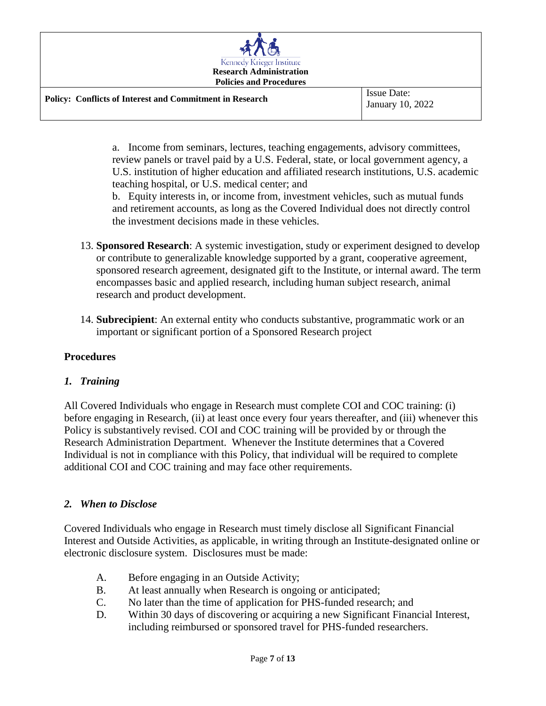| Kennedy Krieger Institute<br><b>Research Administration</b><br><b>Policies and Procedures</b> |                                        |
|-----------------------------------------------------------------------------------------------|----------------------------------------|
| <b>Policy: Conflicts of Interest and Commitment in Research</b>                               | <b>Issue Date:</b><br>January 10, 2022 |

a. Income from seminars, lectures, teaching engagements, advisory committees, review panels or travel paid by a U.S. Federal, state, or local government agency, a U.S. institution of higher education and affiliated research institutions, U.S. academic teaching hospital, or U.S. medical center; and

b. Equity interests in, or income from, investment vehicles, such as mutual funds and retirement accounts, as long as the Covered Individual does not directly control the investment decisions made in these vehicles.

- 13. **Sponsored Research**: A systemic investigation, study or experiment designed to develop or contribute to generalizable knowledge supported by a grant, cooperative agreement, sponsored research agreement, designated gift to the Institute, or internal award. The term encompasses basic and applied research, including human subject research, animal research and product development.
- 14. **Subrecipient**: An external entity who conducts substantive, programmatic work or an important or significant portion of a Sponsored Research project

## **Procedures**

## *1. Training*

All Covered Individuals who engage in Research must complete COI and COC training: (i) before engaging in Research, (ii) at least once every four years thereafter, and (iii) whenever this Policy is substantively revised. COI and COC training will be provided by or through the Research Administration Department. Whenever the Institute determines that a Covered Individual is not in compliance with this Policy, that individual will be required to complete additional COI and COC training and may face other requirements.

## *2. When to Disclose*

Covered Individuals who engage in Research must timely disclose all Significant Financial Interest and Outside Activities, as applicable, in writing through an Institute-designated online or electronic disclosure system. Disclosures must be made:

- A. Before engaging in an Outside Activity;
- B. At least annually when Research is ongoing or anticipated;
- C. No later than the time of application for PHS-funded research; and
- D. Within 30 days of discovering or acquiring a new Significant Financial Interest, including reimbursed or sponsored travel for PHS-funded researchers.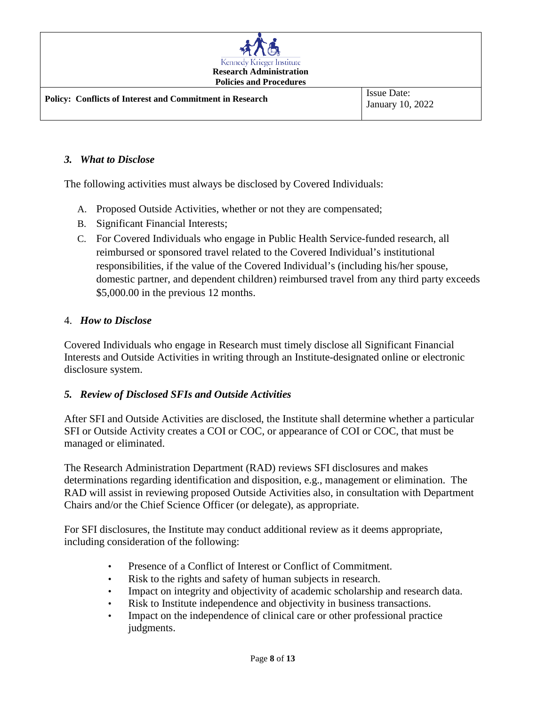

#### *3. What to Disclose*

The following activities must always be disclosed by Covered Individuals:

- A. Proposed Outside Activities, whether or not they are compensated;
- B. Significant Financial Interests;
- C. For Covered Individuals who engage in Public Health Service-funded research, all reimbursed or sponsored travel related to the Covered Individual's institutional responsibilities, if the value of the Covered Individual's (including his/her spouse, domestic partner, and dependent children) reimbursed travel from any third party exceeds \$5,000.00 in the previous 12 months.

#### 4. *How to Disclose*

Covered Individuals who engage in Research must timely disclose all Significant Financial Interests and Outside Activities in writing through an Institute-designated online or electronic disclosure system.

## *5. Review of Disclosed SFIs and Outside Activities*

After SFI and Outside Activities are disclosed, the Institute shall determine whether a particular SFI or Outside Activity creates a COI or COC, or appearance of COI or COC, that must be managed or eliminated.

The Research Administration Department (RAD) reviews SFI disclosures and makes determinations regarding identification and disposition, e.g., management or elimination. The RAD will assist in reviewing proposed Outside Activities also, in consultation with Department Chairs and/or the Chief Science Officer (or delegate), as appropriate.

For SFI disclosures, the Institute may conduct additional review as it deems appropriate, including consideration of the following:

- Presence of a Conflict of Interest or Conflict of Commitment.
- Risk to the rights and safety of human subjects in research.
- Impact on integrity and objectivity of academic scholarship and research data.
- Risk to Institute independence and objectivity in business transactions.
- Impact on the independence of clinical care or other professional practice judgments.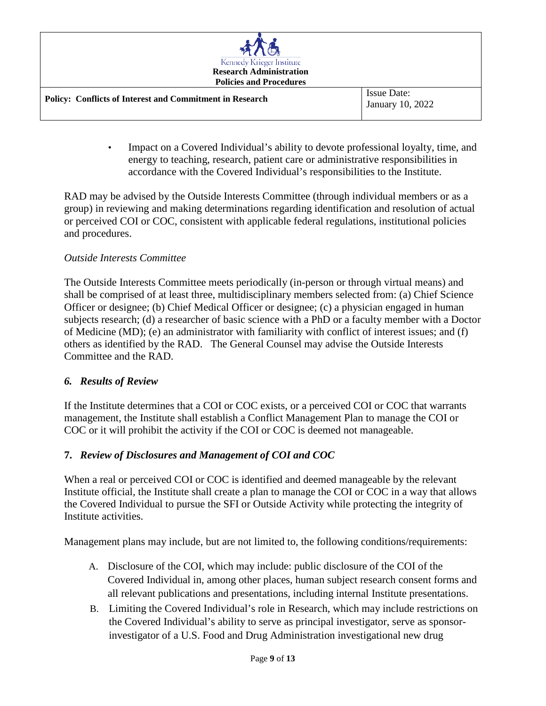| Kennedy Krieger Institute<br><b>Research Administration</b><br><b>Policies and Procedures</b> |                                 |
|-----------------------------------------------------------------------------------------------|---------------------------------|
| <b>Policy: Conflicts of Interest and Commitment in Research</b>                               | Issue Date:<br>January 10, 2022 |

• Impact on a Covered Individual's ability to devote professional loyalty, time, and energy to teaching, research, patient care or administrative responsibilities in accordance with the Covered Individual's responsibilities to the Institute.

RAD may be advised by the Outside Interests Committee (through individual members or as a group) in reviewing and making determinations regarding identification and resolution of actual or perceived COI or COC, consistent with applicable federal regulations, institutional policies and procedures.

## *Outside Interests Committee*

The Outside Interests Committee meets periodically (in-person or through virtual means) and shall be comprised of at least three, multidisciplinary members selected from: (a) Chief Science Officer or designee; (b) Chief Medical Officer or designee; (c) a physician engaged in human subjects research; (d) a researcher of basic science with a PhD or a faculty member with a Doctor of Medicine (MD); (e) an administrator with familiarity with conflict of interest issues; and (f) others as identified by the RAD. The General Counsel may advise the Outside Interests Committee and the RAD.

# *6. Results of Review*

If the Institute determines that a COI or COC exists, or a perceived COI or COC that warrants management, the Institute shall establish a Conflict Management Plan to manage the COI or COC or it will prohibit the activity if the COI or COC is deemed not manageable.

# **7.** *Review of Disclosures and Management of COI and COC*

When a real or perceived COI or COC is identified and deemed manageable by the relevant Institute official, the Institute shall create a plan to manage the COI or COC in a way that allows the Covered Individual to pursue the SFI or Outside Activity while protecting the integrity of Institute activities.

Management plans may include, but are not limited to, the following conditions/requirements:

- A. Disclosure of the COI, which may include: public disclosure of the COI of the Covered Individual in, among other places, human subject research consent forms and all relevant publications and presentations, including internal Institute presentations.
- B. Limiting the Covered Individual's role in Research, which may include restrictions on the Covered Individual's ability to serve as principal investigator, serve as sponsorinvestigator of a U.S. Food and Drug Administration investigational new drug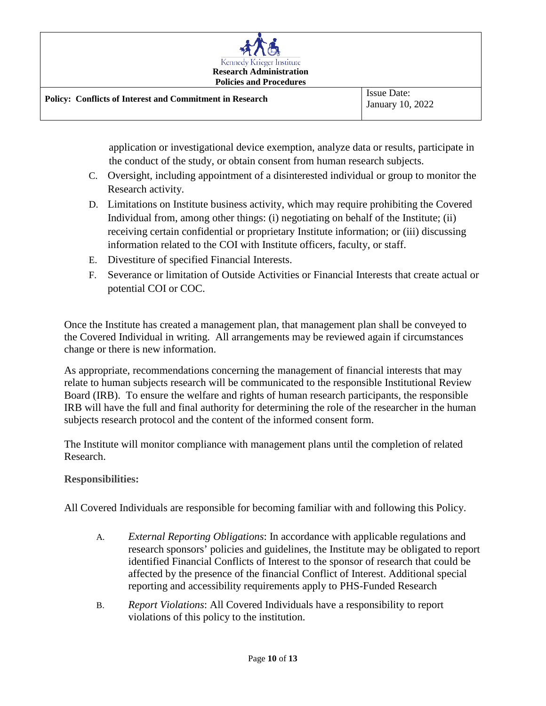

application or investigational device exemption, analyze data or results, participate in the conduct of the study, or obtain consent from human research subjects.

- C. Oversight, including appointment of a disinterested individual or group to monitor the Research activity.
- D. Limitations on Institute business activity, which may require prohibiting the Covered Individual from, among other things: (i) negotiating on behalf of the Institute; (ii) receiving certain confidential or proprietary Institute information; or (iii) discussing information related to the COI with Institute officers, faculty, or staff.
- E. Divestiture of specified Financial Interests.
- F. Severance or limitation of Outside Activities or Financial Interests that create actual or potential COI or COC.

Once the Institute has created a management plan, that management plan shall be conveyed to the Covered Individual in writing. All arrangements may be reviewed again if circumstances change or there is new information.

As appropriate, recommendations concerning the management of financial interests that may relate to human subjects research will be communicated to the responsible Institutional Review Board (IRB). To ensure the welfare and rights of human research participants, the responsible IRB will have the full and final authority for determining the role of the researcher in the human subjects research protocol and the content of the informed consent form.

The Institute will monitor compliance with management plans until the completion of related Research.

## **Responsibilities:**

All Covered Individuals are responsible for becoming familiar with and following this Policy.

- A. *External Reporting Obligations*: In accordance with applicable regulations and research sponsors' policies and guidelines, the Institute may be obligated to report identified Financial Conflicts of Interest to the sponsor of research that could be affected by the presence of the financial Conflict of Interest. Additional special reporting and accessibility requirements apply to PHS-Funded Research
- B. *Report Violations*: All Covered Individuals have a responsibility to report violations of this policy to the institution.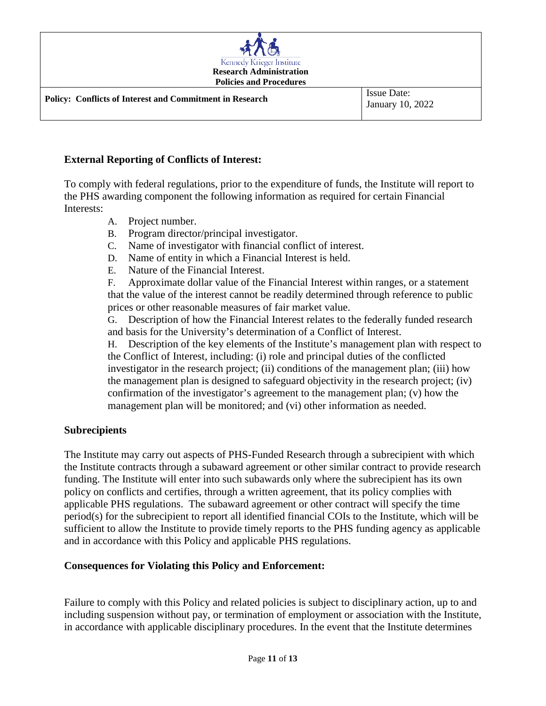

#### **External Reporting of Conflicts of Interest:**

To comply with federal regulations, prior to the expenditure of funds, the Institute will report to the PHS awarding component the following information as required for certain Financial Interests:

- A. Project number.
- B. Program director/principal investigator.
- C. Name of investigator with financial conflict of interest.
- D. Name of entity in which a Financial Interest is held.
- E. Nature of the Financial Interest.

F. Approximate dollar value of the Financial Interest within ranges, or a statement that the value of the interest cannot be readily determined through reference to public prices or other reasonable measures of fair market value.

G. Description of how the Financial Interest relates to the federally funded research and basis for the University's determination of a Conflict of Interest.

H. Description of the key elements of the Institute's management plan with respect to the Conflict of Interest, including: (i) role and principal duties of the conflicted investigator in the research project; (ii) conditions of the management plan; (iii) how the management plan is designed to safeguard objectivity in the research project; (iv) confirmation of the investigator's agreement to the management plan; (v) how the management plan will be monitored; and (vi) other information as needed.

#### **Subrecipients**

The Institute may carry out aspects of PHS-Funded Research through a subrecipient with which the Institute contracts through a subaward agreement or other similar contract to provide research funding. The Institute will enter into such subawards only where the subrecipient has its own policy on conflicts and certifies, through a written agreement, that its policy complies with applicable PHS regulations. The subaward agreement or other contract will specify the time period(s) for the subrecipient to report all identified financial COIs to the Institute, which will be sufficient to allow the Institute to provide timely reports to the PHS funding agency as applicable and in accordance with this Policy and applicable PHS regulations.

#### **Consequences for Violating this Policy and Enforcement:**

Failure to comply with this Policy and related policies is subject to disciplinary action, up to and including suspension without pay, or termination of employment or association with the Institute, in accordance with applicable disciplinary procedures. In the event that the Institute determines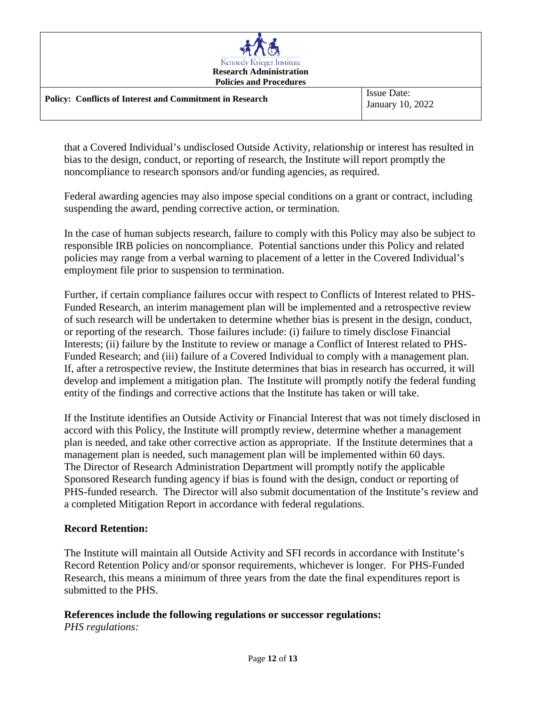| Kennedy Krieger Institute<br><b>Research Administration</b><br><b>Policies and Procedures</b> |                                        |
|-----------------------------------------------------------------------------------------------|----------------------------------------|
| <b>Policy: Conflicts of Interest and Commitment in Research</b>                               | <b>Issue Date:</b><br>January 10, 2022 |

that a Covered Individual's undisclosed Outside Activity, relationship or interest has resulted in bias to the design, conduct, or reporting of research, the Institute will report promptly the noncompliance to research sponsors and/or funding agencies, as required.

Federal awarding agencies may also impose special conditions on a grant or contract, including suspending the award, pending corrective action, or termination.

In the case of human subjects research, failure to comply with this Policy may also be subject to responsible IRB policies on noncompliance. Potential sanctions under this Policy and related policies may range from a verbal warning to placement of a letter in the Covered Individual's employment file prior to suspension to termination.

Further, if certain compliance failures occur with respect to Conflicts of Interest related to PHS-Funded Research, an interim management plan will be implemented and a retrospective review of such research will be undertaken to determine whether bias is present in the design, conduct, or reporting of the research. Those failures include: (i) failure to timely disclose Financial Interests; (ii) failure by the Institute to review or manage a Conflict of Interest related to PHS-Funded Research; and (iii) failure of a Covered Individual to comply with a management plan. If, after a retrospective review, the Institute determines that bias in research has occurred, it will develop and implement a mitigation plan. The Institute will promptly notify the federal funding entity of the findings and corrective actions that the Institute has taken or will take.

If the Institute identifies an Outside Activity or Financial Interest that was not timely disclosed in accord with this Policy, the Institute will promptly review, determine whether a management plan is needed, and take other corrective action as appropriate. If the Institute determines that a management plan is needed, such management plan will be implemented within 60 days. The Director of Research Administration Department will promptly notify the applicable Sponsored Research funding agency if bias is found with the design, conduct or reporting of PHS-funded research. The Director will also submit documentation of the Institute's review and a completed Mitigation Report in accordance with federal regulations.

#### **Record Retention:**

The Institute will maintain all Outside Activity and SFI records in accordance with Institute's Record Retention Policy and/or sponsor requirements, whichever is longer. For PHS-Funded Research, this means a minimum of three years from the date the final expenditures report is submitted to the PHS.

#### **References include the following regulations or successor regulations:** *PHS regulations:*